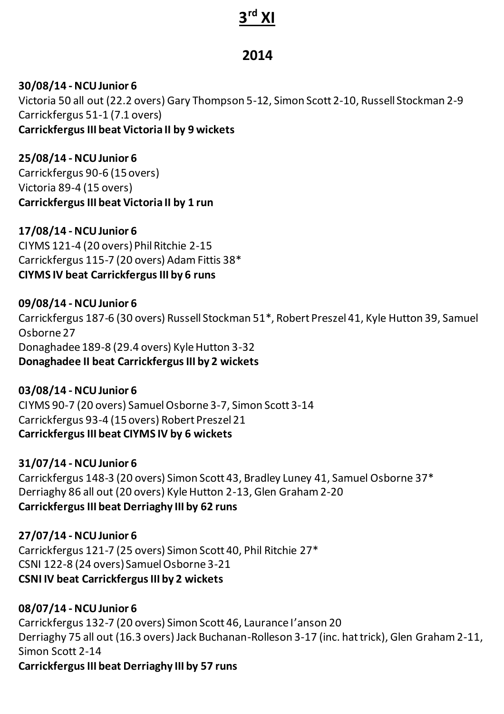# **3 rd XI**

# **2014**

#### **30/08/14 - NCU Junior 6**

Victoria 50 all out (22.2 overs) Gary Thompson 5-12, Simon Scott 2-10, Russell Stockman 2-9 Carrickfergus 51-1 (7.1 overs) **Carrickfergus III beat Victoria II by 9 wickets** 

**25/08/14 - NCU Junior 6**

Carrickfergus 90-6 (15overs) Victoria 89-4 (15 overs) **Carrickfergus III beat Victoria II by 1 run** 

#### **17/08/14 - NCU Junior 6**

CIYMS 121-4 (20 overs) Phil Ritchie 2-15 Carrickfergus 115-7 (20 overs) Adam Fittis 38\* **CIYMS IV beat Carrickfergus III by 6 runs**

#### **09/08/14 - NCU Junior 6**

Carrickfergus 187-6 (30 overs) Russell Stockman 51\*, Robert Preszel 41, Kyle Hutton 39, Samuel Osborne 27 Donaghadee 189-8 (29.4 overs) Kyle Hutton 3-32 **Donaghadee II beat Carrickfergus III by 2 wickets**

## **03/08/14 - NCU Junior 6**

CIYMS 90-7 (20 overs) Samuel Osborne 3-7, Simon Scott 3-14 Carrickfergus 93-4 (15 overs) Robert Preszel 21 **Carrickfergus III beat CIYMS IV by 6 wickets** 

## **31/07/14 - NCU Junior 6**

Carrickfergus 148-3 (20 overs) Simon Scott 43, Bradley Luney 41, Samuel Osborne 37\* Derriaghy 86 all out (20 overs) Kyle Hutton 2-13, Glen Graham 2-20 **Carrickfergus III beat Derriaghy III by 62 runs** 

## **27/07/14 - NCU Junior 6**

Carrickfergus 121-7 (25 overs) Simon Scott 40, Phil Ritchie 27\* CSNI 122-8 (24 overs) Samuel Osborne 3-21 **CSNI IV beat Carrickfergus III by 2 wickets** 

## **08/07/14 - NCU Junior 6**

Carrickfergus 132-7 (20 overs) Simon Scott 46, Laurance I'anson 20 Derriaghy 75 all out (16.3 overs) Jack Buchanan-Rolleson 3-17 (inc. hat trick), Glen Graham 2-11, Simon Scott 2-14 **Carrickfergus III beat Derriaghy III by 57 runs**